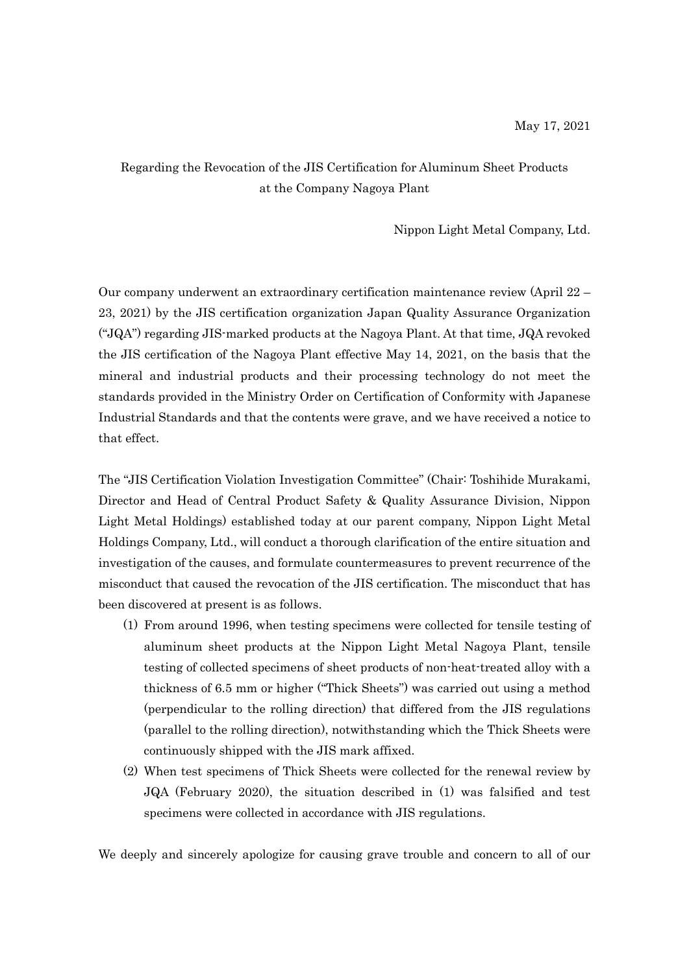## Regarding the Revocation of the JIS Certification for Aluminum Sheet Products at the Company Nagoya Plant

Nippon Light Metal Company, Ltd.

Our company underwent an extraordinary certification maintenance review (April 22 – 23, 2021) by the JIS certification organization Japan Quality Assurance Organization ("JQA") regarding JIS-marked products at the Nagoya Plant. At that time, JQA revoked the JIS certification of the Nagoya Plant effective May 14, 2021, on the basis that the mineral and industrial products and their processing technology do not meet the standards provided in the Ministry Order on Certification of Conformity with Japanese Industrial Standards and that the contents were grave, and we have received a notice to that effect.

The "JIS Certification Violation Investigation Committee" (Chair: Toshihide Murakami, Director and Head of Central Product Safety & Quality Assurance Division, Nippon Light Metal Holdings) established today at our parent company, Nippon Light Metal Holdings Company, Ltd., will conduct a thorough clarification of the entire situation and investigation of the causes, and formulate countermeasures to prevent recurrence of the misconduct that caused the revocation of the JIS certification. The misconduct that has been discovered at present is as follows.

- (1) From around 1996, when testing specimens were collected for tensile testing of aluminum sheet products at the Nippon Light Metal Nagoya Plant, tensile testing of collected specimens of sheet products of non-heat-treated alloy with a thickness of 6.5 mm or higher ("Thick Sheets") was carried out using a method (perpendicular to the rolling direction) that differed from the JIS regulations (parallel to the rolling direction), notwithstanding which the Thick Sheets were continuously shipped with the JIS mark affixed.
- (2) When test specimens of Thick Sheets were collected for the renewal review by JQA (February 2020), the situation described in (1) was falsified and test specimens were collected in accordance with JIS regulations.

We deeply and sincerely apologize for causing grave trouble and concern to all of our